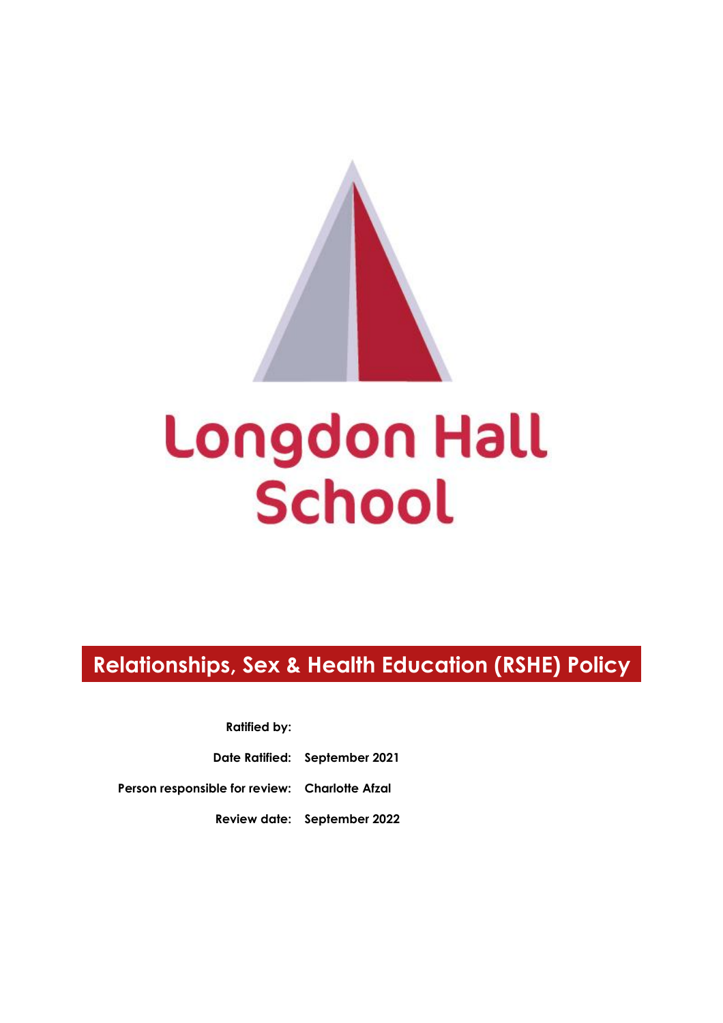# Longdon Hall **School**

## **Relationships, Sex & Health Education (RSHE) Policy**

**Ratified by:**

**Date Ratified: September 2021**

**Person responsible for review: Charlotte Afzal**

**Review date: September 2022**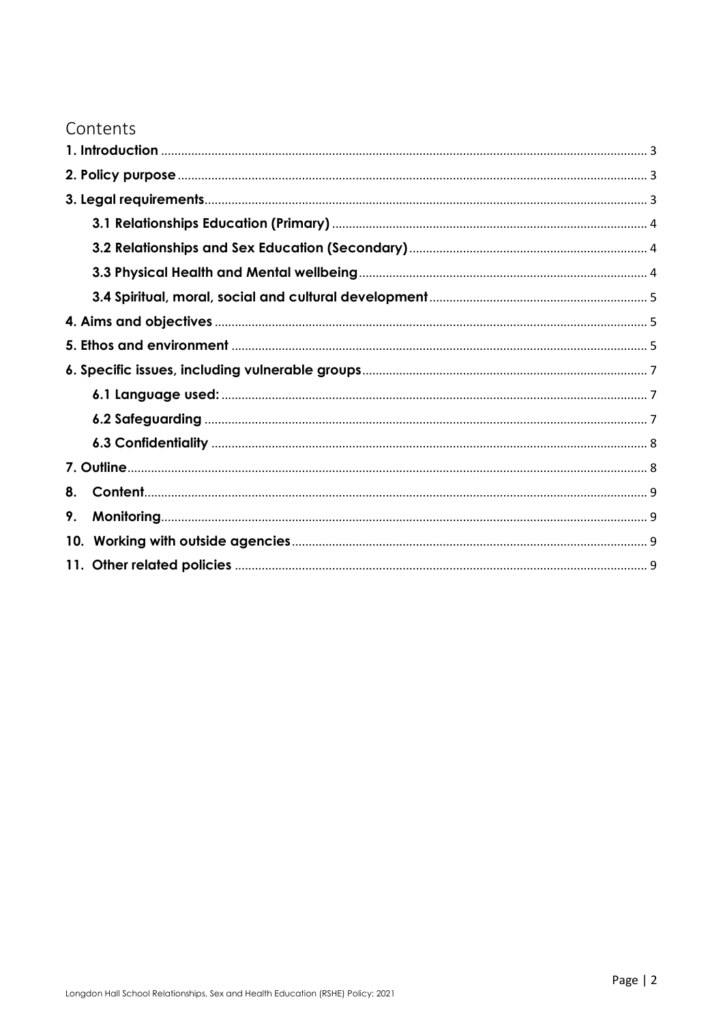### Contents

| 8. |  |  |
|----|--|--|
| 9. |  |  |
|    |  |  |
|    |  |  |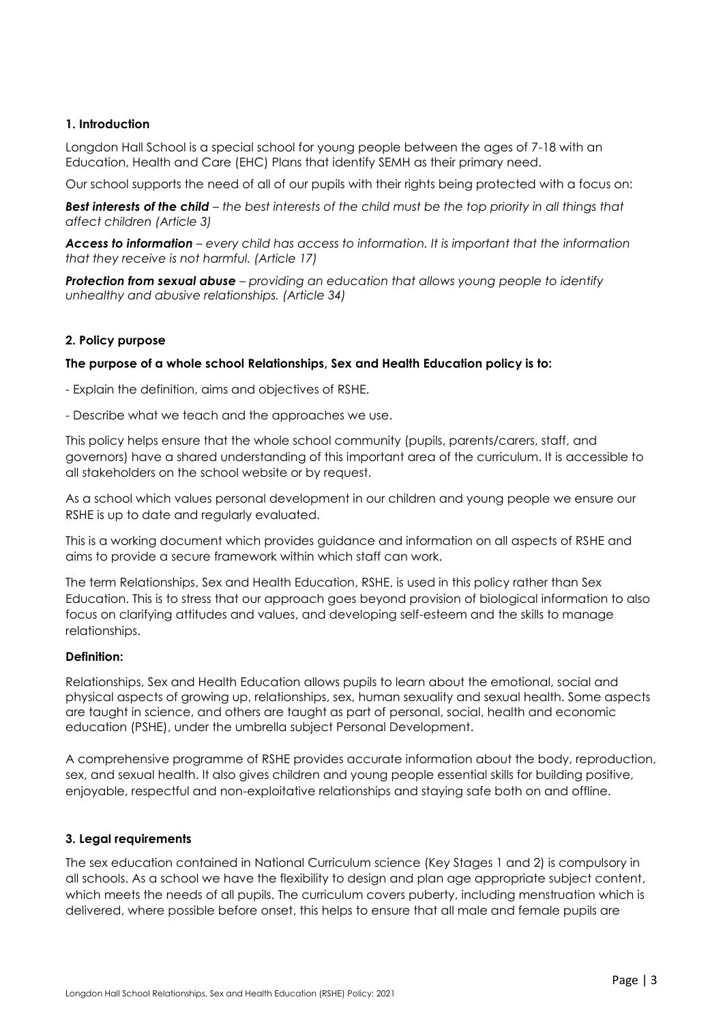#### <span id="page-2-0"></span>**1. Introduction**

Longdon Hall School is a special school for young people between the ages of 7-18 with an Education, Health and Care (EHC) Plans that identify SEMH as their primary need.

Our school supports the need of all of our pupils with their rights being protected with a focus on:

*Best interests of the child – the best interests of the child must be the top priority in all things that affect children (Article 3)*

*Access to information – every child has access to information. It is important that the information that they receive is not harmful. (Article 17)*

*Protection from sexual abuse – providing an education that allows young people to identify unhealthy and abusive relationships. (Article 34)*

#### <span id="page-2-1"></span>**2. Policy purpose**

#### **The purpose of a whole school Relationships, Sex and Health Education policy is to:**

- Explain the definition, aims and objectives of RSHE.

- Describe what we teach and the approaches we use.

This policy helps ensure that the whole school community (pupils, parents/carers, staff, and governors) have a shared understanding of this important area of the curriculum. It is accessible to all stakeholders on the school website or by request.

As a school which values personal development in our children and young people we ensure our RSHE is up to date and regularly evaluated.

This is a working document which provides guidance and information on all aspects of RSHE and aims to provide a secure framework within which staff can work.

The term Relationships, Sex and Health Education, RSHE, is used in this policy rather than Sex Education. This is to stress that our approach goes beyond provision of biological information to also focus on clarifying attitudes and values, and developing self-esteem and the skills to manage relationships.

#### **Definition:**

Relationships, Sex and Health Education allows pupils to learn about the emotional, social and physical aspects of growing up, relationships, sex, human sexuality and sexual health. Some aspects are taught in science, and others are taught as part of personal, social, health and economic education (PSHE), under the umbrella subject Personal Development.

A comprehensive programme of RSHE provides accurate information about the body, reproduction, sex, and sexual health. It also gives children and young people essential skills for building positive, enjoyable, respectful and non-exploitative relationships and staying safe both on and offline.

#### <span id="page-2-2"></span>**3. Legal requirements**

The sex education contained in National Curriculum science (Key Stages 1 and 2) is compulsory in all schools. As a school we have the flexibility to design and plan age appropriate subject content, which meets the needs of all pupils. The curriculum covers puberty, including menstruation which is delivered, where possible before onset, this helps to ensure that all male and female pupils are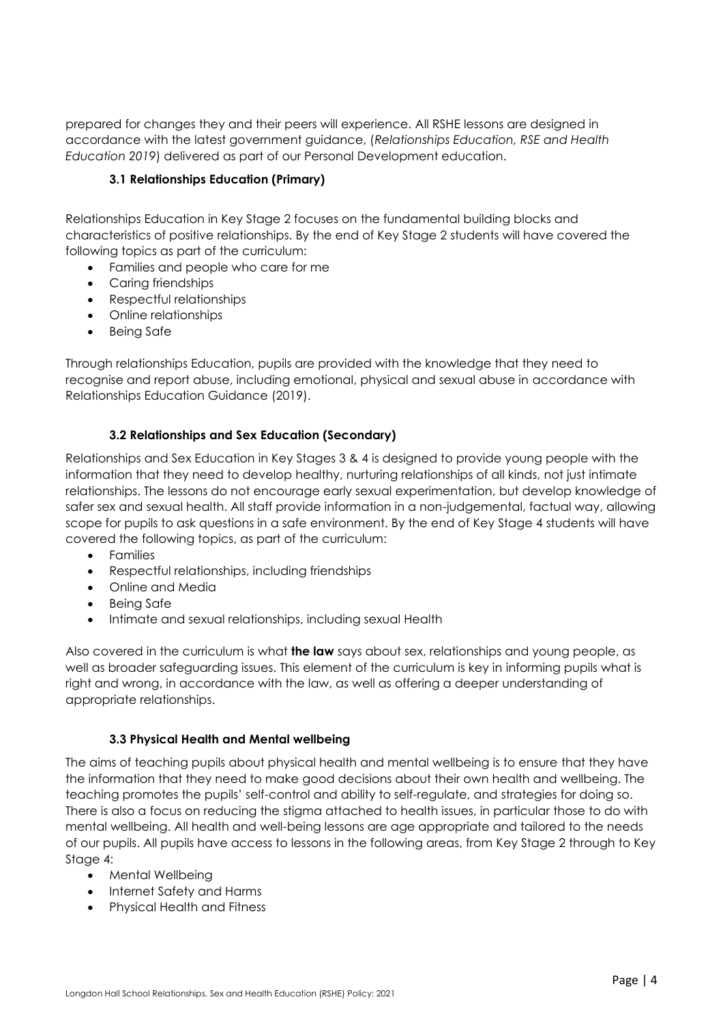prepared for changes they and their peers will experience. All RSHE lessons are designed in accordance with the latest government guidance, (*Relationships Education, RSE and Health Education 2019*) delivered as part of our Personal Development education.

#### **3.1 Relationships Education (Primary)**

<span id="page-3-0"></span>Relationships Education in Key Stage 2 focuses on the fundamental building blocks and characteristics of positive relationships. By the end of Key Stage 2 students will have covered the following topics as part of the curriculum:

- Families and people who care for me
- Caring friendships
- Respectful relationships
- Online relationships
- Being Safe

Through relationships Education, pupils are provided with the knowledge that they need to recognise and report abuse, including emotional, physical and sexual abuse in accordance with Relationships Education Guidance (2019).

#### **3.2 Relationships and Sex Education (Secondary)**

<span id="page-3-1"></span>Relationships and Sex Education in Key Stages 3 & 4 is designed to provide young people with the information that they need to develop healthy, nurturing relationships of all kinds, not just intimate relationships. The lessons do not encourage early sexual experimentation, but develop knowledge of safer sex and sexual health. All staff provide information in a non-judgemental, factual way, allowing scope for pupils to ask questions in a safe environment. By the end of Key Stage 4 students will have covered the following topics, as part of the curriculum:

- Families
- Respectful relationships, including friendships
- Online and Media
- Being Safe
- Intimate and sexual relationships, including sexual Health

Also covered in the curriculum is what **the law** says about sex, relationships and young people, as well as broader safeguarding issues. This element of the curriculum is key in informing pupils what is right and wrong, in accordance with the law, as well as offering a deeper understanding of appropriate relationships.

#### **3.3 Physical Health and Mental wellbeing**

<span id="page-3-2"></span>The aims of teaching pupils about physical health and mental wellbeing is to ensure that they have the information that they need to make good decisions about their own health and wellbeing. The teaching promotes the pupils' self-control and ability to self-regulate, and strategies for doing so. There is also a focus on reducing the stigma attached to health issues, in particular those to do with mental wellbeing. All health and well-being lessons are age appropriate and tailored to the needs of our pupils. All pupils have access to lessons in the following areas, from Key Stage 2 through to Key Stage 4:

- Mental Wellbeing
- Internet Safety and Harms
- Physical Health and Fitness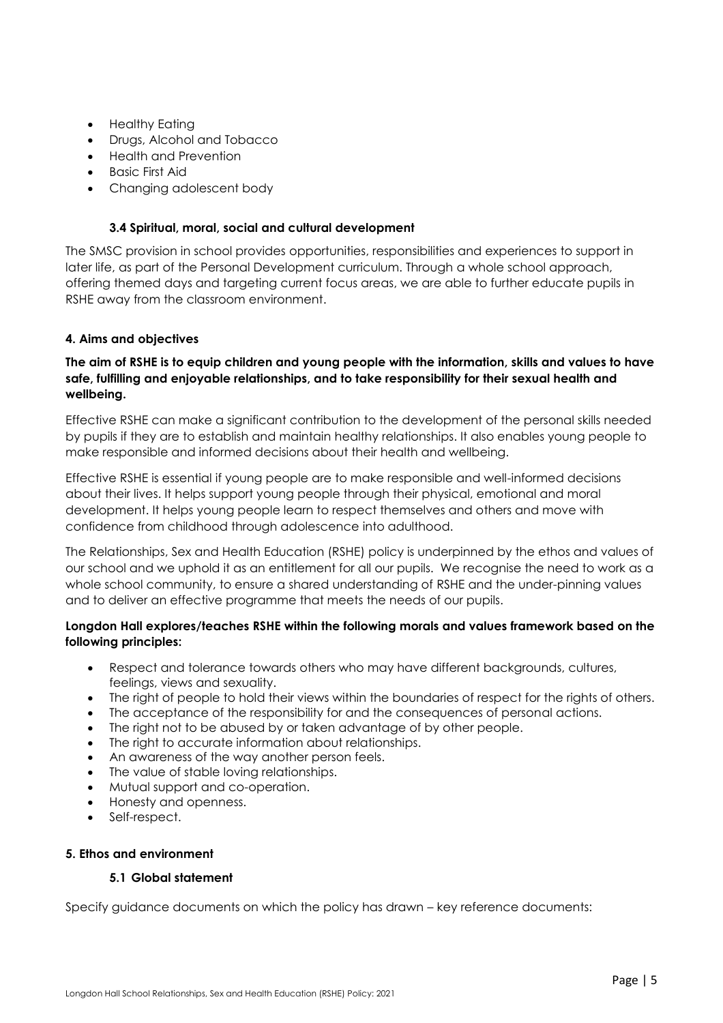- Healthy Eating
- Drugs, Alcohol and Tobacco
- Health and Prevention
- Basic First Aid
- Changing adolescent body

#### **3.4 Spiritual, moral, social and cultural development**

<span id="page-4-0"></span>The SMSC provision in school provides opportunities, responsibilities and experiences to support in later life, as part of the Personal Development curriculum. Through a whole school approach, offering themed days and targeting current focus areas, we are able to further educate pupils in RSHE away from the classroom environment.

#### <span id="page-4-1"></span>**4. Aims and objectives**

#### **The aim of RSHE is to equip children and young people with the information, skills and values to have safe, fulfilling and enjoyable relationships, and to take responsibility for their sexual health and wellbeing.**

Effective RSHE can make a significant contribution to the development of the personal skills needed by pupils if they are to establish and maintain healthy relationships. It also enables young people to make responsible and informed decisions about their health and wellbeing.

Effective RSHE is essential if young people are to make responsible and well-informed decisions about their lives. It helps support young people through their physical, emotional and moral development. It helps young people learn to respect themselves and others and move with confidence from childhood through adolescence into adulthood.

The Relationships, Sex and Health Education (RSHE) policy is underpinned by the ethos and values of our school and we uphold it as an entitlement for all our pupils. We recognise the need to work as a whole school community, to ensure a shared understanding of RSHE and the under-pinning values and to deliver an effective programme that meets the needs of our pupils.

#### **Longdon Hall explores/teaches RSHE within the following morals and values framework based on the following principles:**

- Respect and tolerance towards others who may have different backgrounds, cultures, feelings, views and sexuality.
- The right of people to hold their views within the boundaries of respect for the rights of others.
- The acceptance of the responsibility for and the consequences of personal actions.
- The right not to be abused by or taken advantage of by other people.
- The right to accurate information about relationships.
- An awareness of the way another person feels.
- The value of stable loving relationships.
- Mutual support and co-operation.
- Honesty and openness.
- Self-respect.

#### <span id="page-4-2"></span>**5. Ethos and environment**

#### **5.1 Global statement**

Specify guidance documents on which the policy has drawn – key reference documents: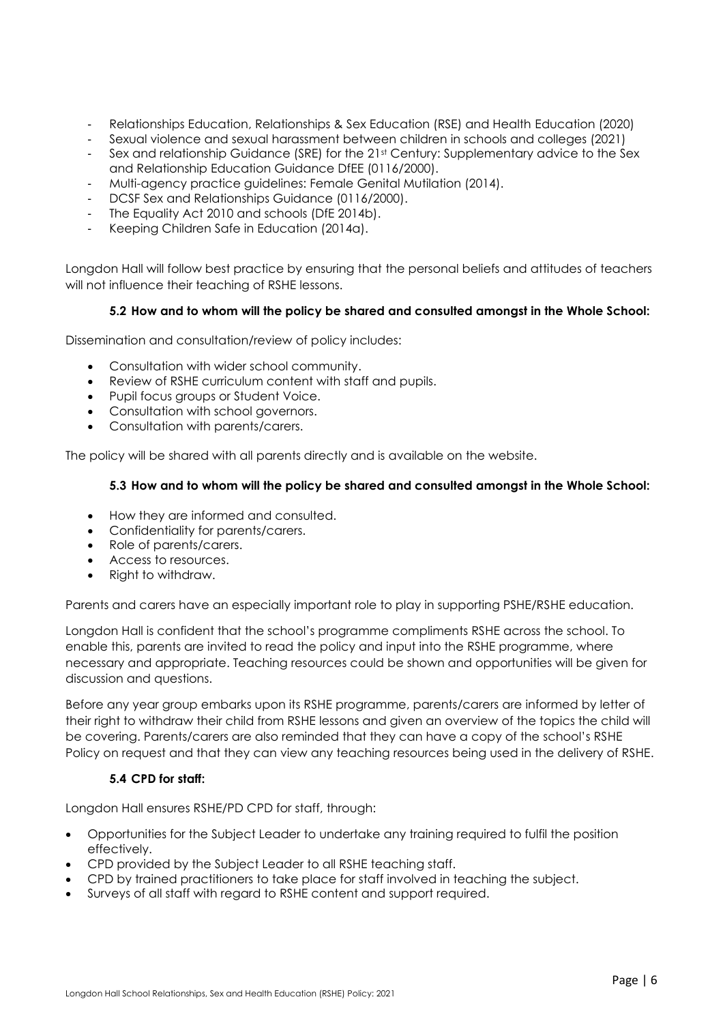- Relationships Education, Relationships & Sex Education (RSE) and Health Education (2020)
- Sexual violence and sexual harassment between children in schools and colleges (2021)
- Sex and relationship Guidance (SRE) for the 21st Century: Supplementary advice to the Sex and Relationship Education Guidance DfEE (0116/2000).
- Multi-agency practice guidelines: Female Genital Mutilation (2014).
- DCSF Sex and Relationships Guidance (0116/2000).
- The Equality Act 2010 and schools (DfE 2014b).
- Keeping Children Safe in Education (2014a).

Longdon Hall will follow best practice by ensuring that the personal beliefs and attitudes of teachers will not influence their teaching of RSHE lessons.

#### **5.2 How and to whom will the policy be shared and consulted amongst in the Whole School:**

Dissemination and consultation/review of policy includes:

- Consultation with wider school community.
- Review of RSHE curriculum content with staff and pupils.
- Pupil focus groups or Student Voice.
- Consultation with school governors.
- Consultation with parents/carers.

The policy will be shared with all parents directly and is available on the website.

#### **5.3 How and to whom will the policy be shared and consulted amongst in the Whole School:**

- How they are informed and consulted.
- Confidentiality for parents/carers.
- Role of parents/carers.
- Access to resources.
- Right to withdraw.

Parents and carers have an especially important role to play in supporting PSHE/RSHE education.

Longdon Hall is confident that the school's programme compliments RSHE across the school. To enable this, parents are invited to read the policy and input into the RSHE programme, where necessary and appropriate. Teaching resources could be shown and opportunities will be given for discussion and questions.

Before any year group embarks upon its RSHE programme, parents/carers are informed by letter of their right to withdraw their child from RSHE lessons and given an overview of the topics the child will be covering. Parents/carers are also reminded that they can have a copy of the school's RSHE Policy on request and that they can view any teaching resources being used in the delivery of RSHE.

#### **5.4 CPD for staff:**

Longdon Hall ensures RSHE/PD CPD for staff, through:

- Opportunities for the Subject Leader to undertake any training required to fulfil the position effectively.
- CPD provided by the Subject Leader to all RSHE teaching staff.
- CPD by trained practitioners to take place for staff involved in teaching the subject.
- Surveys of all staff with regard to RSHE content and support required.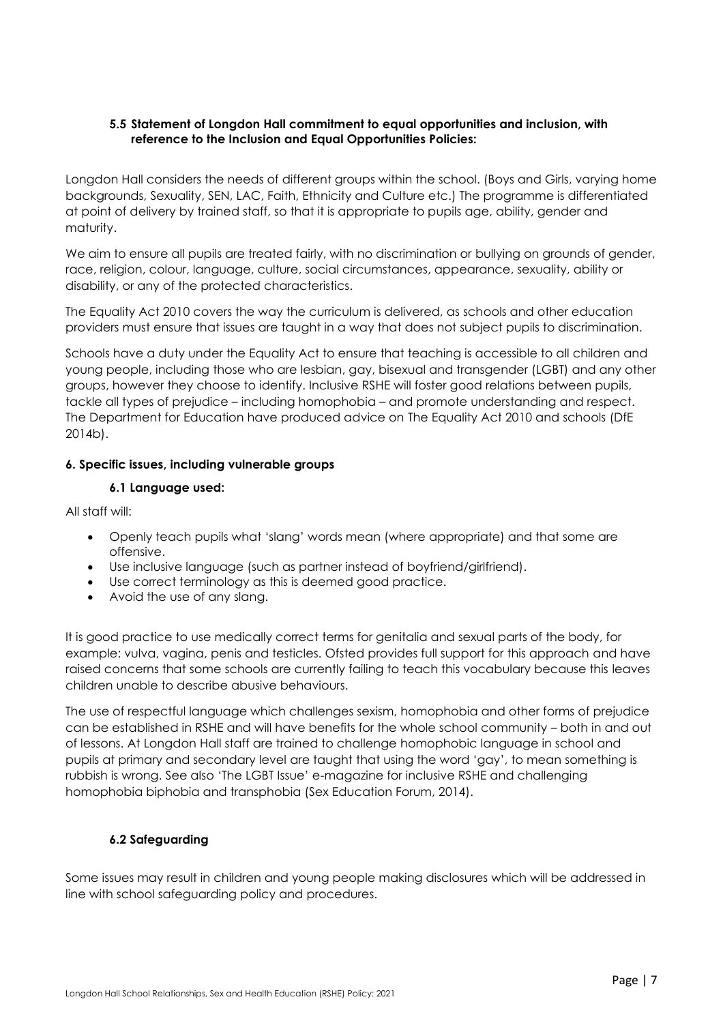#### **5.5 Statement of Longdon Hall commitment to equal opportunities and inclusion, with reference to the Inclusion and Equal Opportunities Policies:**

Longdon Hall considers the needs of different groups within the school. (Boys and Girls, varying home backgrounds, Sexuality, SEN, LAC, Faith, Ethnicity and Culture etc.) The programme is differentiated at point of delivery by trained staff, so that it is appropriate to pupils age, ability, gender and maturity.

We aim to ensure all pupils are treated fairly, with no discrimination or bullying on grounds of gender, race, religion, colour, language, culture, social circumstances, appearance, sexuality, ability or disability, or any of the protected characteristics.

The Equality Act 2010 covers the way the curriculum is delivered, as schools and other education providers must ensure that issues are taught in a way that does not subject pupils to discrimination.

Schools have a duty under the Equality Act to ensure that teaching is accessible to all children and young people, including those who are lesbian, gay, bisexual and transgender (LGBT) and any other groups, however they choose to identify. Inclusive RSHE will foster good relations between pupils, tackle all types of prejudice – including homophobia – and promote understanding and respect. The Department for Education have produced advice on The Equality Act 2010 and schools (DfE 2014b).

#### <span id="page-6-0"></span>**6. Specific issues, including vulnerable groups**

#### **6.1 Language used:**

<span id="page-6-1"></span>All staff will:

- Openly teach pupils what 'slang' words mean (where appropriate) and that some are offensive.
- Use inclusive language (such as partner instead of boyfriend/girlfriend).
- Use correct terminology as this is deemed good practice.
- Avoid the use of any slang.

It is good practice to use medically correct terms for genitalia and sexual parts of the body, for example: vulva, vagina, penis and testicles. Ofsted provides full support for this approach and have raised concerns that some schools are currently failing to teach this vocabulary because this leaves children unable to describe abusive behaviours.

The use of respectful language which challenges sexism, homophobia and other forms of prejudice can be established in RSHE and will have benefits for the whole school community – both in and out of lessons. At Longdon Hall staff are trained to challenge homophobic language in school and pupils at primary and secondary level are taught that using the word 'gay', to mean something is rubbish is wrong. See also 'The LGBT Issue' e-magazine for inclusive RSHE and challenging homophobia biphobia and transphobia (Sex Education Forum, 2014).

#### **6.2 Safeguarding**

<span id="page-6-2"></span>Some issues may result in children and young people making disclosures which will be addressed in line with school safeguarding policy and procedures.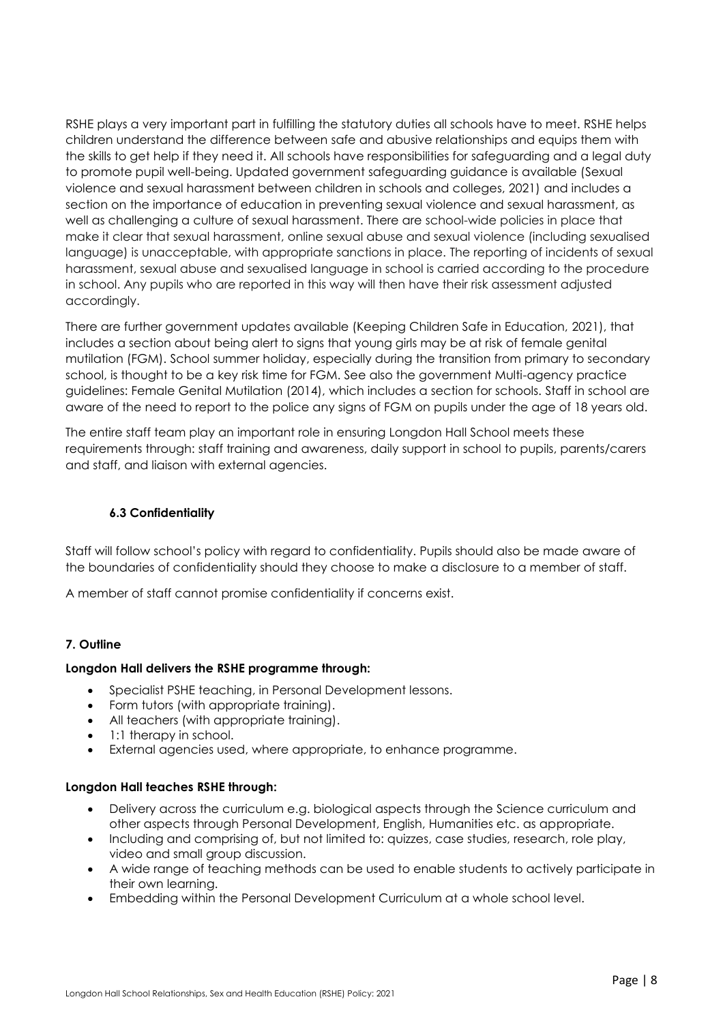RSHE plays a very important part in fulfilling the statutory duties all schools have to meet. RSHE helps children understand the difference between safe and abusive relationships and equips them with the skills to get help if they need it. All schools have responsibilities for safeguarding and a legal duty to promote pupil well-being. Updated government safeguarding guidance is available (Sexual violence and sexual harassment between children in schools and colleges, 2021) and includes a section on the importance of education in preventing sexual violence and sexual harassment, as well as challenging a culture of sexual harassment. There are school-wide policies in place that make it clear that sexual harassment, online sexual abuse and sexual violence (including sexualised language) is unacceptable, with appropriate sanctions in place. The reporting of incidents of sexual harassment, sexual abuse and sexualised language in school is carried according to the procedure in school. Any pupils who are reported in this way will then have their risk assessment adjusted accordingly.

There are further government updates available (Keeping Children Safe in Education, 2021), that includes a section about being alert to signs that young girls may be at risk of female genital mutilation (FGM). School summer holiday, especially during the transition from primary to secondary school, is thought to be a key risk time for FGM. See also the government Multi-agency practice guidelines: Female Genital Mutilation (2014), which includes a section for schools. Staff in school are aware of the need to report to the police any signs of FGM on pupils under the age of 18 years old.

The entire staff team play an important role in ensuring Longdon Hall School meets these requirements through: staff training and awareness, daily support in school to pupils, parents/carers and staff, and liaison with external agencies.

#### **6.3 Confidentiality**

<span id="page-7-0"></span>Staff will follow school's policy with regard to confidentiality. Pupils should also be made aware of the boundaries of confidentiality should they choose to make a disclosure to a member of staff.

A member of staff cannot promise confidentiality if concerns exist.

#### <span id="page-7-1"></span>**7. Outline**

#### **Longdon Hall delivers the RSHE programme through:**

- Specialist PSHE teaching, in Personal Development lessons.
- Form tutors (with appropriate training).
- All teachers (with appropriate training).
- 1:1 therapy in school.
- External agencies used, where appropriate, to enhance programme.

#### **Longdon Hall teaches RSHE through:**

- Delivery across the curriculum e.g. biological aspects through the Science curriculum and other aspects through Personal Development, English, Humanities etc. as appropriate.
- Including and comprising of, but not limited to: quizzes, case studies, research, role play, video and small group discussion.
- A wide range of teaching methods can be used to enable students to actively participate in their own learning.
- Embedding within the Personal Development Curriculum at a whole school level.